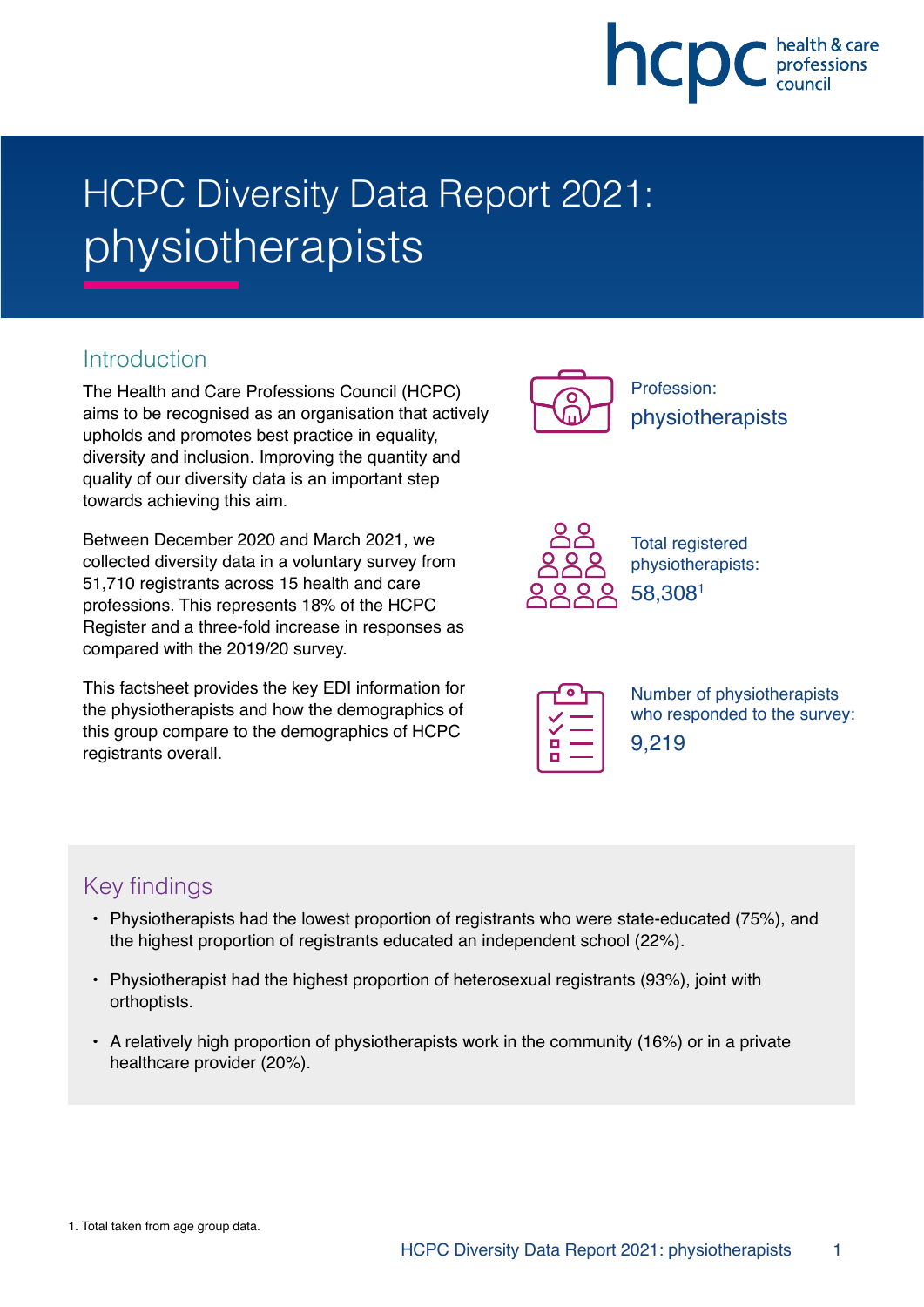

# HCPC Diversity Data Report 2021: physiotherapists

## **Introduction**

The Health and Care Professions Council (HCPC) aims to be recognised as an organisation that actively upholds and promotes best practice in equality, diversity and inclusion. Improving the quantity and quality of our diversity data is an important step towards achieving this aim.

Between December 2020 and March 2021, we collected diversity data in a voluntary survey from 51,710 registrants across 15 health and care professions. This represents 18% of the HCPC Register and a three-fold increase in responses as compared with the 2019/20 survey.

This factsheet provides the key EDI information for the physiotherapists and how the demographics of this group compare to the demographics of HCPC registrants overall.



Profession: physiotherapists



Total registered physiotherapists: 58,3081

| Ξ<br><b>Service Service</b><br>r |  |
|----------------------------------|--|
|                                  |  |

Number of physiotherapists who responded to the survey: 9,219

# Key findings

- Physiotherapists had the lowest proportion of registrants who were state-educated (75%), and the highest proportion of registrants educated an independent school (22%).
- Physiotherapist had the highest proportion of heterosexual registrants (93%), joint with orthoptists.
- A relatively high proportion of physiotherapists work in the community (16%) or in a private healthcare provider (20%).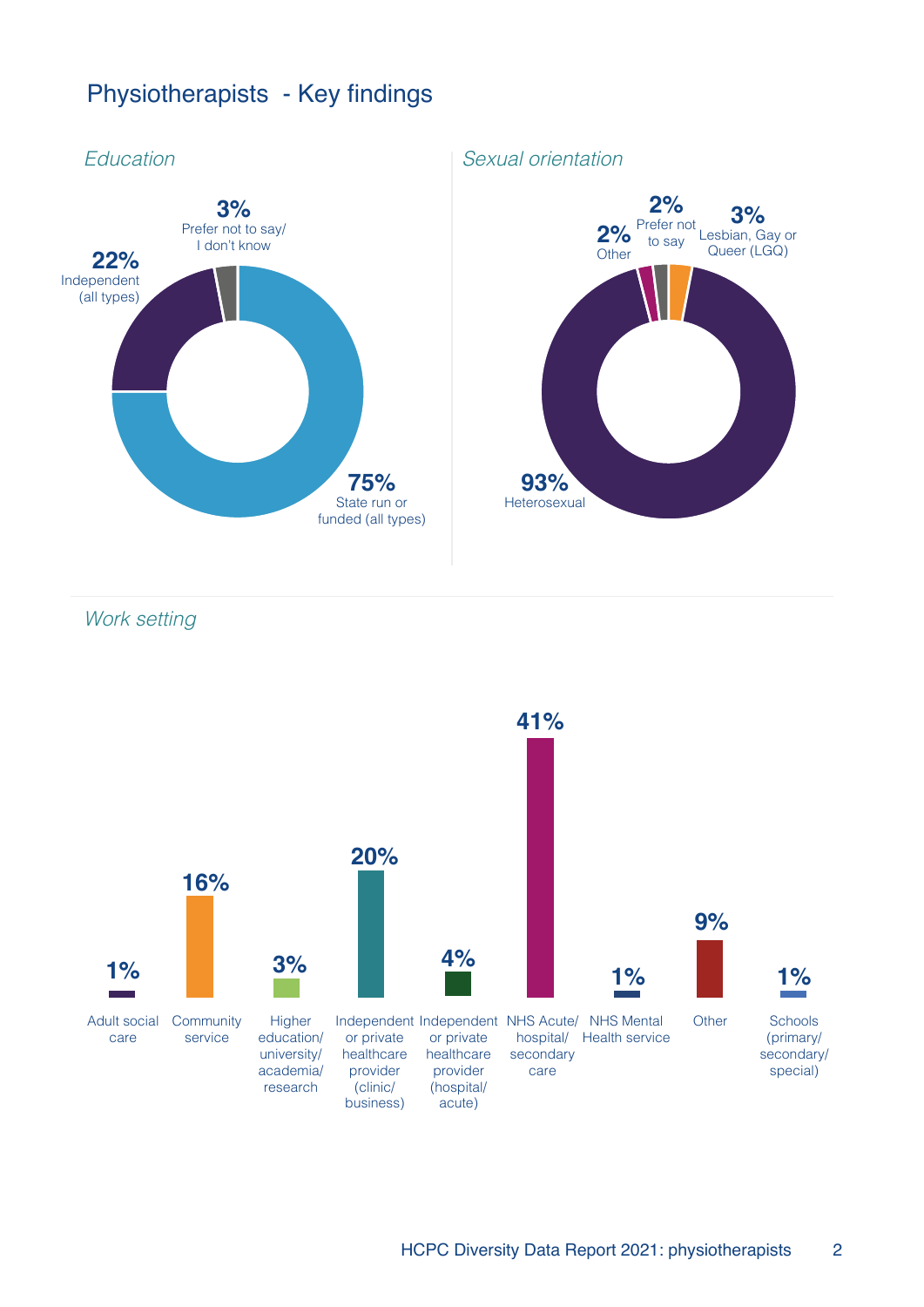# Physiotherapists - Key findings



Work setting

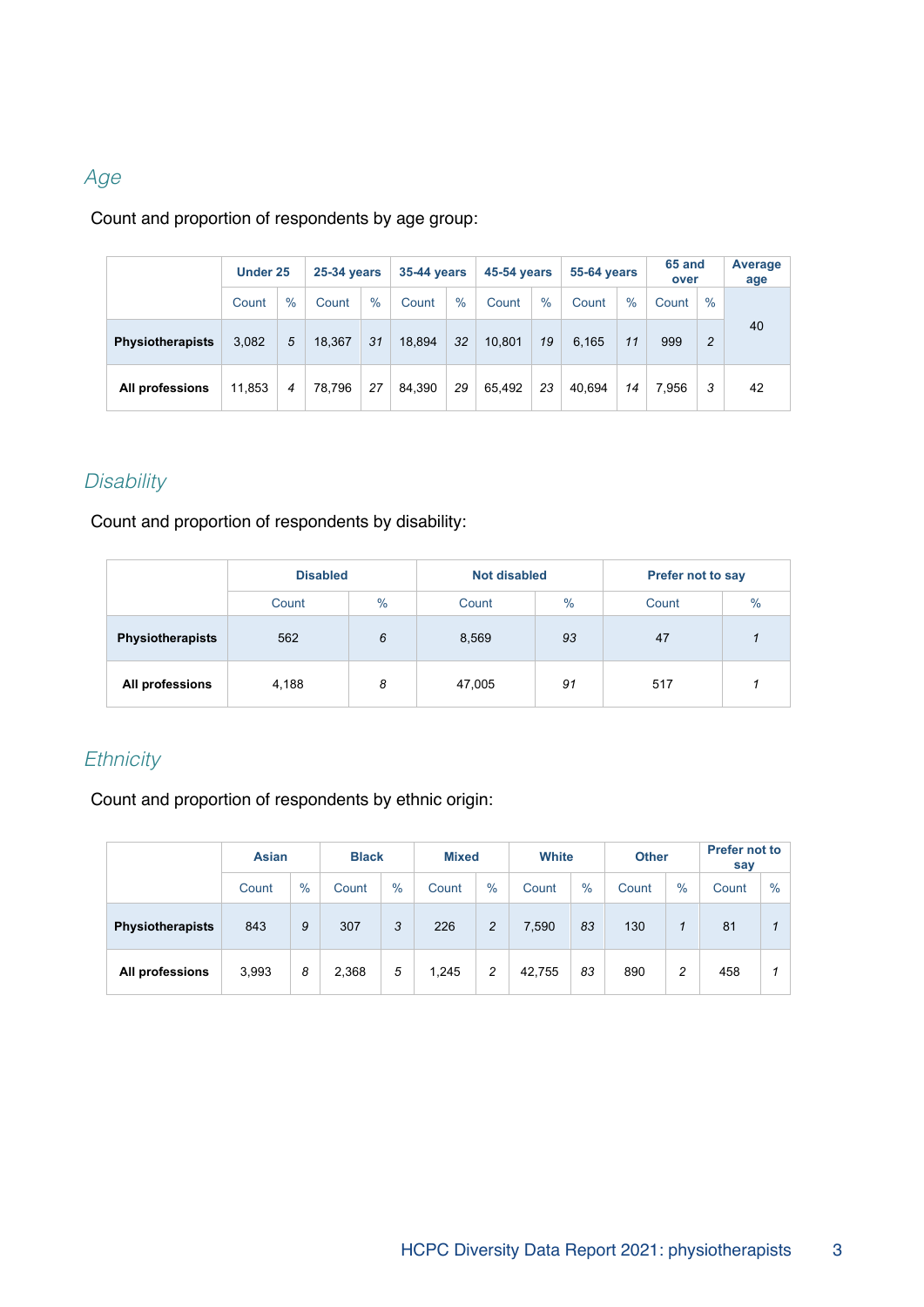## Age

Count and proportion of respondents by age group:

|                         |        | Under 25 |        | <b>25-34 years</b> |        | 35-44 years |        | <b>45-54 vears</b> |        | <b>55-64 years</b> |       | 65 and<br>over |    |
|-------------------------|--------|----------|--------|--------------------|--------|-------------|--------|--------------------|--------|--------------------|-------|----------------|----|
|                         | Count  | $\%$     | Count  | $\%$               | Count  | $\%$        | Count  | $\%$               | Count  | $\%$               | Count | $\%$           |    |
| <b>Physiotherapists</b> | 3,082  | 5        | 18.367 | 31                 | 18.894 | 32          | 10.801 | 19                 | 6.165  | 11                 | 999   | $\overline{c}$ | 40 |
| All professions         | 11.853 | 4        | 78.796 | 27                 | 84.390 | 29          | 65.492 | 23                 | 40.694 | 14                 | 7.956 | 3              | 42 |

#### **Disability**

Count and proportion of respondents by disability:

|                         | <b>Disabled</b> |      | <b>Not disabled</b> |               | <b>Prefer not to say</b> |               |  |
|-------------------------|-----------------|------|---------------------|---------------|--------------------------|---------------|--|
|                         | Count           | $\%$ | Count               | $\frac{9}{6}$ | Count                    | $\frac{0}{0}$ |  |
| <b>Physiotherapists</b> | 562<br>6        |      | 8,569               | 93            | 47                       |               |  |
| All professions         | 4,188           | 8    | 47,005              | 91            | 517                      |               |  |

# **Ethnicity**

Count and proportion of respondents by ethnic origin:

|                         | <b>Asian</b> |               | <b>Black</b> |                        | <b>Mixed</b> |                | White  |               | <b>Other</b> |      | Prefer not to<br>say |      |
|-------------------------|--------------|---------------|--------------|------------------------|--------------|----------------|--------|---------------|--------------|------|----------------------|------|
|                         | Count        | $\frac{0}{0}$ | Count        | $\frac{0}{0}$<br>Count |              | $\%$           | Count  | $\frac{0}{0}$ | Count        | $\%$ | Count                | $\%$ |
| <b>Physiotherapists</b> | 843          | 9             | 307          | 3                      | 226          | $\overline{c}$ | 7,590  | 83            | 130          |      | 81                   |      |
| All professions         | 3,993        | 8             | 2,368        | 5                      | 1,245        | 2              | 42,755 | 83            | 890          | 2    | 458                  |      |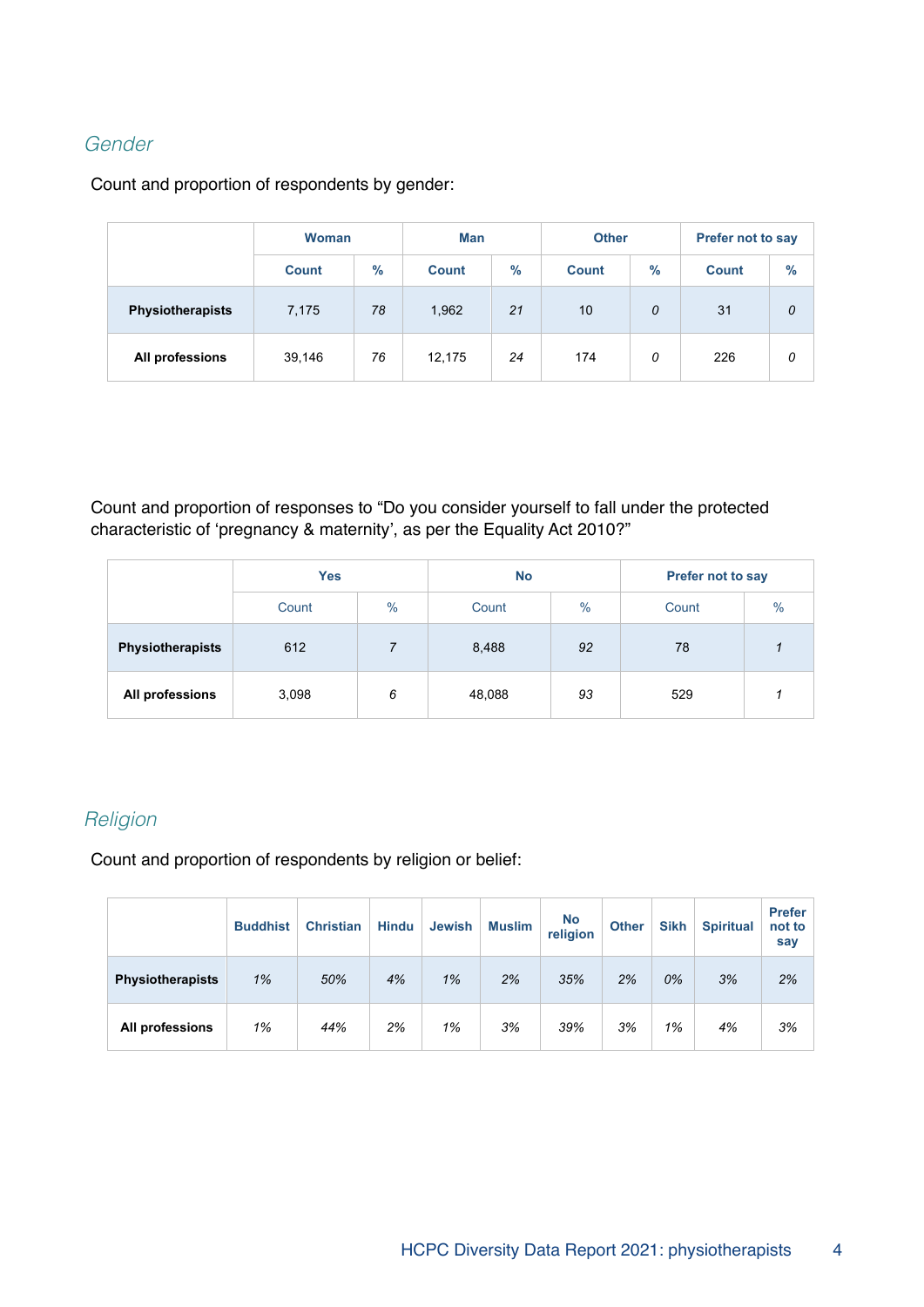#### Gender

Count and proportion of respondents by gender:

|                         | <b>Woman</b>         |    | <b>Man</b>           |    | <b>Other</b> |      | <b>Prefer not to say</b> |      |  |
|-------------------------|----------------------|----|----------------------|----|--------------|------|--------------------------|------|--|
|                         | $\%$<br><b>Count</b> |    | $\%$<br><b>Count</b> |    | <b>Count</b> | $\%$ | <b>Count</b>             | $\%$ |  |
| <b>Physiotherapists</b> | 7,175                | 78 | 1,962                | 21 | 10           | 0    | 31                       | 0    |  |
| All professions         | 39,146               | 76 | 12,175               | 24 | 174          | 0    | 226                      | 0    |  |

Count and proportion of responses to "Do you consider yourself to fall under the protected characteristic of 'pregnancy & maternity', as per the Equality Act 2010?"

|                         | <b>Yes</b> |               | <b>No</b> |      | Prefer not to say |      |  |
|-------------------------|------------|---------------|-----------|------|-------------------|------|--|
|                         | Count      | $\frac{0}{0}$ |           | $\%$ | Count             | $\%$ |  |
| <b>Physiotherapists</b> | 612        |               |           | 92   | 78                |      |  |
| All professions         | 3,098      | 6             | 48,088    | 93   | 529               |      |  |

## **Religion**

Count and proportion of respondents by religion or belief:

|                         | <b>Buddhist</b> | <b>Christian</b> | <b>Hindu</b> | <b>Jewish</b> | <b>Muslim</b> | <b>No</b><br>religion | <b>Other</b> | <b>Sikh</b> | <b>Spiritual</b> | <b>Prefer</b><br>not to<br>say |
|-------------------------|-----------------|------------------|--------------|---------------|---------------|-----------------------|--------------|-------------|------------------|--------------------------------|
| <b>Physiotherapists</b> | 1%              | 50%              | 4%           | 1%            | 2%            | 35%                   | 2%           | 0%          | 3%               | 2%                             |
| All professions         | 1%              | 44%              | 2%           | 1%            | 3%            | 39%                   | 3%           | 1%          | 4%               | 3%                             |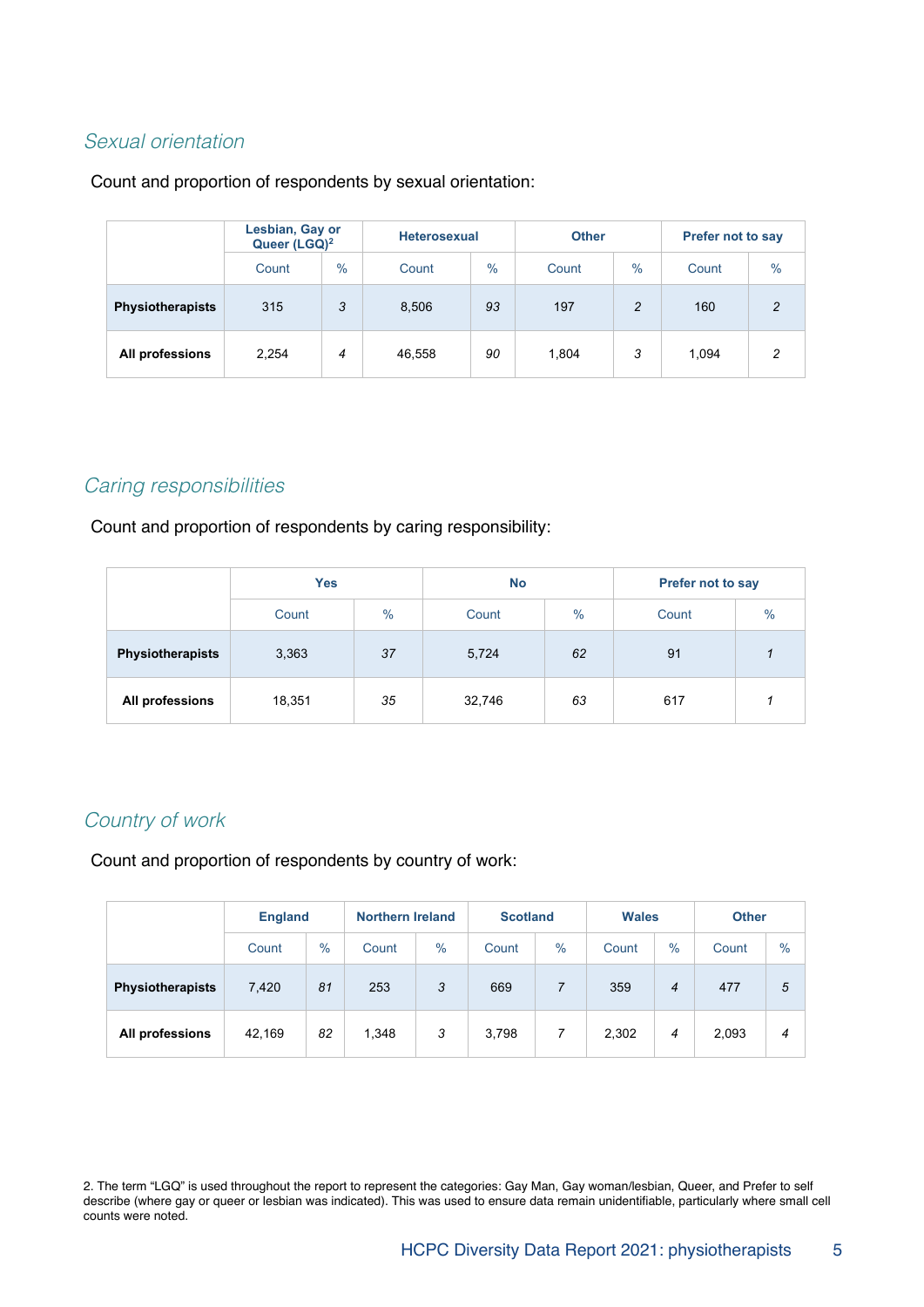#### Sexual orientation

#### Count and proportion of respondents by sexual orientation:

|                         | Lesbian, Gay or<br>Queer (LGQ) <sup>2</sup> |               |        | <b>Heterosexual</b> |       |               | <b>Prefer not to say</b> |                |  |
|-------------------------|---------------------------------------------|---------------|--------|---------------------|-------|---------------|--------------------------|----------------|--|
|                         | Count                                       | $\frac{0}{0}$ | Count  | $\%$                | Count | $\frac{0}{0}$ | Count                    | $\%$           |  |
| <b>Physiotherapists</b> | 315                                         | 3             | 8,506  | 93                  | 197   |               | 160                      | $\overline{2}$ |  |
| All professions         | 2,254                                       | 4             | 46,558 | 90                  | 1,804 | 3             | 1,094                    | $\mathcal{P}$  |  |

#### Caring responsibilities

Count and proportion of respondents by caring responsibility:

|                         | <b>Yes</b>    |    | <b>No</b> |      | <b>Prefer not to say</b> |      |  |
|-------------------------|---------------|----|-----------|------|--------------------------|------|--|
|                         | $\%$<br>Count |    | Count     | $\%$ | Count                    | $\%$ |  |
| <b>Physiotherapists</b> | 37<br>3,363   |    | 5,724     | 62   | 91                       |      |  |
| All professions         | 18,351        | 35 | 32,746    | 63   | 617                      |      |  |

#### Country of work

Count and proportion of respondents by country of work:

|                         |        | <b>England</b> |       | <b>Northern Ireland</b> |       | <b>Scotland</b> |       | <b>Wales</b> | <b>Other</b> |      |
|-------------------------|--------|----------------|-------|-------------------------|-------|-----------------|-------|--------------|--------------|------|
|                         | Count  | $\frac{0}{0}$  | Count | $\%$                    | Count | $\%$            | Count | $\%$         | Count        | $\%$ |
| <b>Physiotherapists</b> | 7,420  | 81             | 253   | 3                       | 669   |                 | 359   | 4            | 477          | 5    |
| All professions         | 42,169 | 82             | 1,348 | 3                       | 3,798 | 7               | 2,302 | 4            | 2,093        | 4    |

2. The term "LGQ" is used throughout the report to represent the categories: Gay Man, Gay woman/lesbian, Queer, and Prefer to self describe (where gay or queer or lesbian was indicated). This was used to ensure data remain unidentifiable, particularly where small cell counts were noted.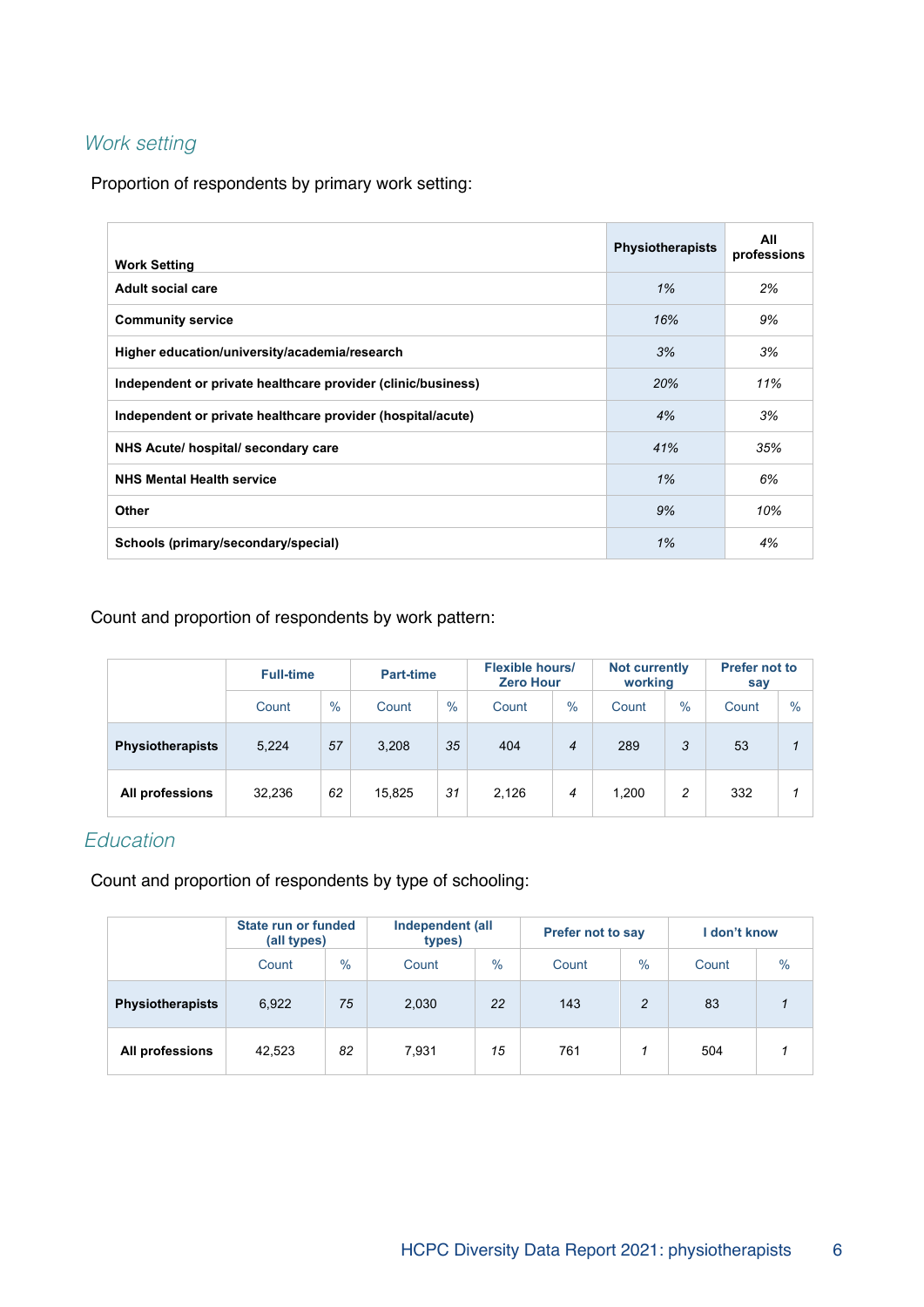## Work setting

Proportion of respondents by primary work setting:

| <b>Work Setting</b>                                          | <b>Physiotherapists</b> | All<br>professions |
|--------------------------------------------------------------|-------------------------|--------------------|
| Adult social care                                            | 1%                      | 2%                 |
| <b>Community service</b>                                     | 16%                     | 9%                 |
| Higher education/university/academia/research                | 3%                      | 3%                 |
| Independent or private healthcare provider (clinic/business) | 20%                     | 11%                |
| Independent or private healthcare provider (hospital/acute)  | 4%                      | 3%                 |
| NHS Acute/ hospital/ secondary care                          | 41%                     | 35%                |
| <b>NHS Mental Health service</b>                             | 1%                      | 6%                 |
| Other                                                        | 9%                      | 10%                |
| Schools (primary/secondary/special)                          | 1%                      | 4%                 |

#### Count and proportion of respondents by work pattern:

|                         | <b>Full-time</b> |      |        | <b>Part-time</b> |       | <b>Flexible hours/</b><br><b>Zero Hour</b> |       | <b>Not currently</b><br>working | <b>Prefer not to</b><br>say |      |
|-------------------------|------------------|------|--------|------------------|-------|--------------------------------------------|-------|---------------------------------|-----------------------------|------|
|                         | Count            | $\%$ | Count  | $\%$             | Count | $\%$                                       | Count | $\%$                            | Count                       | $\%$ |
| <b>Physiotherapists</b> | 5,224            | 57   | 3.208  | 35               | 404   | $\overline{4}$                             | 289   | 3                               | 53                          |      |
| All professions         | 32,236           | 62   | 15,825 | 31               | 2,126 | 4                                          | 1,200 | 2                               | 332                         | 1    |

#### **Education**

Count and proportion of respondents by type of schooling:

|                         | State run or funded<br>(all types) |               | Independent (all<br>types) |               | Prefer not to say |      | i don't know |                         |
|-------------------------|------------------------------------|---------------|----------------------------|---------------|-------------------|------|--------------|-------------------------|
|                         | Count                              | $\frac{0}{0}$ | Count                      | $\frac{0}{0}$ | Count             | $\%$ | Count        | $\%$                    |
| <b>Physiotherapists</b> | 6,922                              | 75            | 2,030                      | 22            | 143               | 2    | 83           | $\overline{\mathbf{1}}$ |
| All professions         | 42,523                             | 82            | 7,931                      | 15            | 761               |      | 504          |                         |